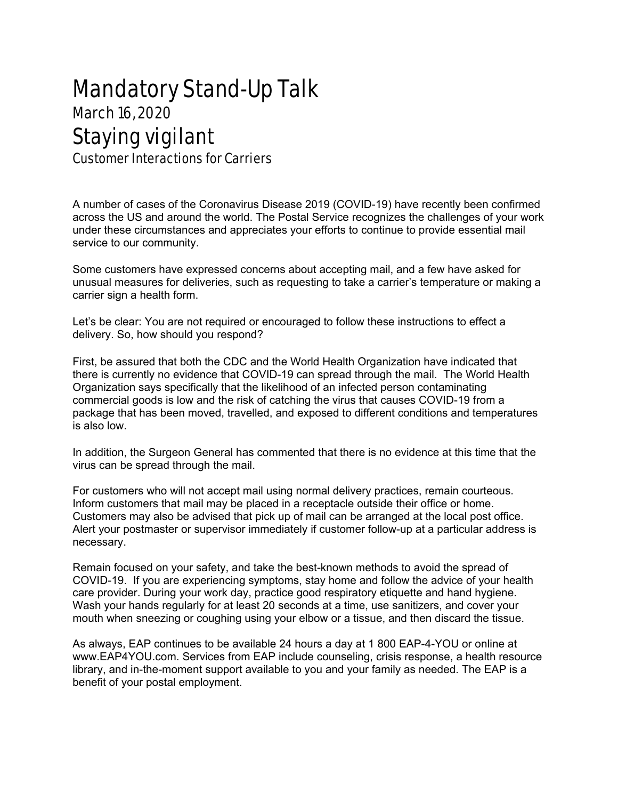## Mandatory Stand-Up Talk March 16, 2020 Staying vigilant Customer Interactions for Carriers

service to our community.

A number of cases of the Coronavirus Disease 2019 (COVID-19) have recently been confirmed across the US and around the world. The Postal Service recognizes the challenges of your work under these circumstances and appreciates your efforts to continue to provide essential mail

Some customers have expressed concerns about accepting mail, and a few have asked for unusual measures for deliveries, such as requesting to take a carrier's temperature or making a carrier sign a health form.

Let's be clear: You are not required or encouraged to follow these instructions to effect a delivery. So, how should you respond?

First, be assured that both the CDC and the World Health Organization have indicated that there is currently no evidence that COVID-19 can spread through the mail. The World Health Organization says specifically that the likelihood of an infected person contaminating commercial goods is low and the risk of catching the virus that causes COVID-19 from a package that has been moved, travelled, and exposed to different conditions and temperatures is also low.

In addition, the Surgeon General has commented that there is no evidence at this time that the virus can be spread through the mail.

For customers who will not accept mail using normal delivery practices, remain courteous. Inform customers that mail may be placed in a receptacle outside their office or home. Customers may also be advised that pick up of mail can be arranged at the local post office. Alert your postmaster or supervisor immediately if customer follow-up at a particular address is necessary.

Remain focused on your safety, and take the best-known methods to avoid the spread of COVID-19. If you are experiencing symptoms, stay home and follow the advice of your health care provider. During your work day, practice good respiratory etiquette and hand hygiene. Wash your hands regularly for at least 20 seconds at a time, use sanitizers, and cover your mouth when sneezing or coughing using your elbow or a tissue, and then discard the tissue.

As always, EAP continues to be available 24 hours a day at 1 800 EAP-4-YOU or online at www.EAP4YOU.com. Services from EAP include counseling, crisis response, a health resource library, and in-the-moment support available to you and your family as needed. The EAP is a benefit of your postal employment.